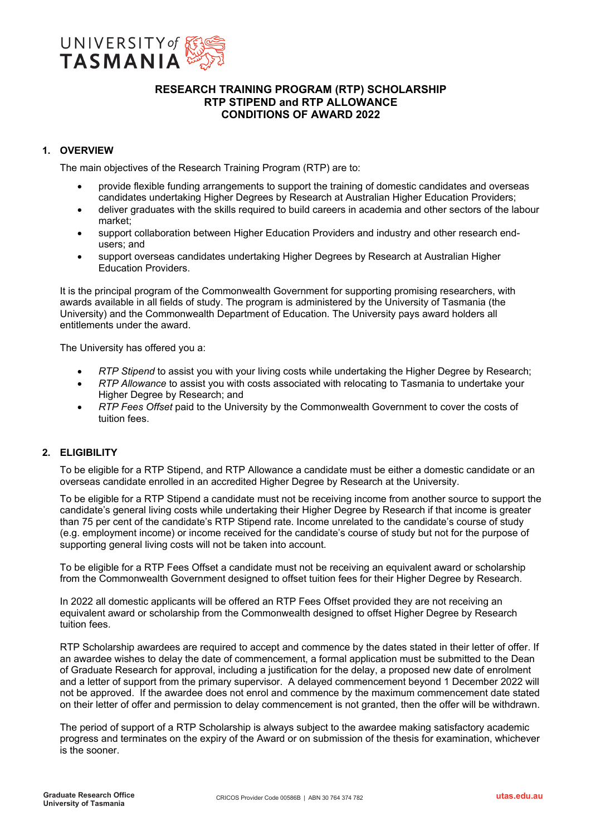

# **RESEARCH TRAINING PROGRAM (RTP) SCHOLARSHIP RTP STIPEND and RTP ALLOWANCE CONDITIONS OF AWARD 2022**

# **1. OVERVIEW**

The main objectives of the Research Training Program (RTP) are to:

- provide flexible funding arrangements to support the training of domestic candidates and overseas candidates undertaking Higher Degrees by Research at Australian Higher Education Providers;
- deliver graduates with the skills required to build careers in academia and other sectors of the labour market;
- support collaboration between Higher Education Providers and industry and other research endusers; and
- support overseas candidates undertaking Higher Degrees by Research at Australian Higher Education Providers.

It is the principal program of the Commonwealth Government for supporting promising researchers, with awards available in all fields of study. The program is administered by the University of Tasmania (the University) and the Commonwealth Department of Education. The University pays award holders all entitlements under the award.

The University has offered you a:

- *RTP Stipend* to assist you with your living costs while undertaking the Higher Degree by Research;
- *RTP Allowance* to assist you with costs associated with relocating to Tasmania to undertake your Higher Degree by Research; and
- *RTP Fees Offset* paid to the University by the Commonwealth Government to cover the costs of tuition fees.

# **2. ELIGIBILITY**

To be eligible for a RTP Stipend, and RTP Allowance a candidate must be either a domestic candidate or an overseas candidate enrolled in an accredited Higher Degree by Research at the University.

To be eligible for a RTP Stipend a candidate must not be receiving income from another source to support the candidate's general living costs while undertaking their Higher Degree by Research if that income is greater than 75 per cent of the candidate's RTP Stipend rate. Income unrelated to the candidate's course of study (e.g. employment income) or income received for the candidate's course of study but not for the purpose of supporting general living costs will not be taken into account.

To be eligible for a RTP Fees Offset a candidate must not be receiving an equivalent award or scholarship from the Commonwealth Government designed to offset tuition fees for their Higher Degree by Research.

In 2022 all domestic applicants will be offered an RTP Fees Offset provided they are not receiving an equivalent award or scholarship from the Commonwealth designed to offset Higher Degree by Research tuition fees.

RTP Scholarship awardees are required to accept and commence by the dates stated in their letter of offer. If an awardee wishes to delay the date of commencement, a formal application must be submitted to the Dean of Graduate Research for approval, including a justification for the delay, a proposed new date of enrolment and a letter of support from the primary supervisor. A delayed commencement beyond 1 December 2022 will not be approved. If the awardee does not enrol and commence by the maximum commencement date stated on their letter of offer and permission to delay commencement is not granted, then the offer will be withdrawn.

The period of support of a RTP Scholarship is always subject to the awardee making satisfactory academic progress and terminates on the expiry of the Award or on submission of the thesis for examination, whichever is the sooner.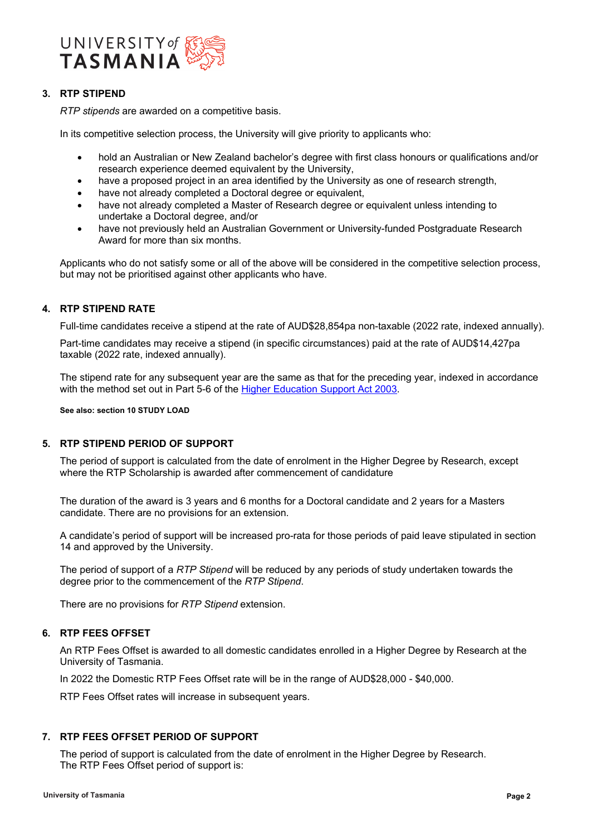

# **3. RTP STIPEND**

*RTP stipends* are awarded on a competitive basis.

In its competitive selection process, the University will give priority to applicants who:

- hold an Australian or New Zealand bachelor's degree with first class honours or qualifications and/or research experience deemed equivalent by the University,
- have a proposed project in an area identified by the University as one of research strength,
- have not already completed a Doctoral degree or equivalent,
- have not already completed a Master of Research degree or equivalent unless intending to undertake a Doctoral degree, and/or
- have not previously held an Australian Government or University-funded Postgraduate Research Award for more than six months.

Applicants who do not satisfy some or all of the above will be considered in the competitive selection process, but may not be prioritised against other applicants who have.

# **4. RTP STIPEND RATE**

Full-time candidates receive a stipend at the rate of AUD\$28,854pa non-taxable (2022 rate, indexed annually).

Part-time candidates may receive a stipend (in specific circumstances) paid at the rate of AUD\$14,427pa taxable (2022 rate, indexed annually).

The stipend rate for any subsequent year are the same as that for the preceding year, indexed in accordance with the method set out in Part 5-6 of the [Higher Education Support Act 2003.](https://www.legislation.gov.au/Details/C2016C00379)

**See also: section 10 STUDY LOAD**

# **5. RTP STIPEND PERIOD OF SUPPORT**

The period of support is calculated from the date of enrolment in the Higher Degree by Research, except where the RTP Scholarship is awarded after commencement of candidature

The duration of the award is 3 years and 6 months for a Doctoral candidate and 2 years for a Masters candidate. There are no provisions for an extension.

A candidate's period of support will be increased pro-rata for those periods of paid leave stipulated in section 14 and approved by the University.

The period of support of a *RTP Stipend* will be reduced by any periods of study undertaken towards the degree prior to the commencement of the *RTP Stipend*.

There are no provisions for *RTP Stipend* extension.

# **6. RTP FEES OFFSET**

An RTP Fees Offset is awarded to all domestic candidates enrolled in a Higher Degree by Research at the University of Tasmania.

In 2022 the Domestic RTP Fees Offset rate will be in the range of AUD\$28,000 - \$40,000.

RTP Fees Offset rates will increase in subsequent years.

# **7. RTP FEES OFFSET PERIOD OF SUPPORT**

The period of support is calculated from the date of enrolment in the Higher Degree by Research. The RTP Fees Offset period of support is: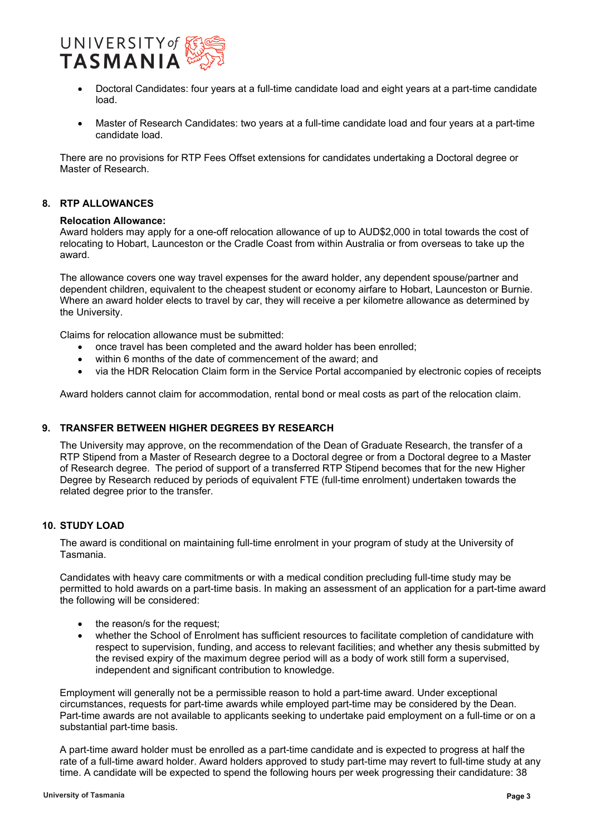

- Doctoral Candidates: four years at a full-time candidate load and eight years at a part-time candidate load.
- Master of Research Candidates: two years at a full-time candidate load and four years at a part-time candidate load.

There are no provisions for RTP Fees Offset extensions for candidates undertaking a Doctoral degree or Master of Research.

# **8. RTP ALLOWANCES**

### **Relocation Allowance:**

Award holders may apply for a one-off relocation allowance of up to AUD\$2,000 in total towards the cost of relocating to Hobart, Launceston or the Cradle Coast from within Australia or from overseas to take up the award.

The allowance covers one way travel expenses for the award holder, any dependent spouse/partner and dependent children, equivalent to the cheapest student or economy airfare to Hobart, Launceston or Burnie. Where an award holder elects to travel by car, they will receive a per kilometre allowance as determined by the University.

Claims for relocation allowance must be submitted:

- once travel has been completed and the award holder has been enrolled;
- within 6 months of the date of commencement of the award; and
- via the HDR Relocation Claim form in the Service Portal accompanied by electronic copies of receipts

Award holders cannot claim for accommodation, rental bond or meal costs as part of the relocation claim.

# **9. TRANSFER BETWEEN HIGHER DEGREES BY RESEARCH**

The University may approve, on the recommendation of the Dean of Graduate Research, the transfer of a RTP Stipend from a Master of Research degree to a Doctoral degree or from a Doctoral degree to a Master of Research degree. The period of support of a transferred RTP Stipend becomes that for the new Higher Degree by Research reduced by periods of equivalent FTE (full-time enrolment) undertaken towards the related degree prior to the transfer.

### **10. STUDY LOAD**

The award is conditional on maintaining full-time enrolment in your program of study at the University of Tasmania.

Candidates with heavy care commitments or with a medical condition precluding full-time study may be permitted to hold awards on a part-time basis. In making an assessment of an application for a part-time award the following will be considered:

- the reason/s for the request:
- whether the School of Enrolment has sufficient resources to facilitate completion of candidature with respect to supervision, funding, and access to relevant facilities; and whether any thesis submitted by the revised expiry of the maximum degree period will as a body of work still form a supervised, independent and significant contribution to knowledge.

Employment will generally not be a permissible reason to hold a part-time award. Under exceptional circumstances, requests for part-time awards while employed part-time may be considered by the Dean. Part-time awards are not available to applicants seeking to undertake paid employment on a full-time or on a substantial part-time basis.

A part-time award holder must be enrolled as a part-time candidate and is expected to progress at half the rate of a full-time award holder. Award holders approved to study part-time may revert to full-time study at any time. A candidate will be expected to spend the following hours per week progressing their candidature: 38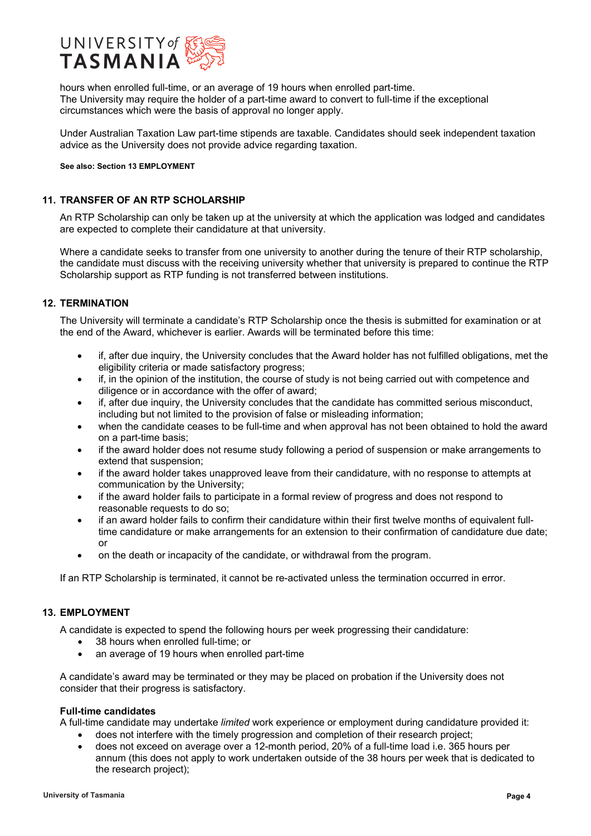

hours when enrolled full-time, or an average of 19 hours when enrolled part-time. The University may require the holder of a part-time award to convert to full-time if the exceptional circumstances which were the basis of approval no longer apply.

Under Australian Taxation Law part-time stipends are taxable. Candidates should seek independent taxation advice as the University does not provide advice regarding taxation.

**See also: Section 13 EMPLOYMENT**

## **11. TRANSFER OF AN RTP SCHOLARSHIP**

An RTP Scholarship can only be taken up at the university at which the application was lodged and candidates are expected to complete their candidature at that university.

Where a candidate seeks to transfer from one university to another during the tenure of their RTP scholarship, the candidate must discuss with the receiving university whether that university is prepared to continue the RTP Scholarship support as RTP funding is not transferred between institutions.

# **12. TERMINATION**

The University will terminate a candidate's RTP Scholarship once the thesis is submitted for examination or at the end of the Award, whichever is earlier. Awards will be terminated before this time:

- if, after due inquiry, the University concludes that the Award holder has not fulfilled obligations, met the eligibility criteria or made satisfactory progress;
- if, in the opinion of the institution, the course of study is not being carried out with competence and diligence or in accordance with the offer of award;
- if, after due inquiry, the University concludes that the candidate has committed serious misconduct, including but not limited to the provision of false or misleading information;
- when the candidate ceases to be full-time and when approval has not been obtained to hold the award on a part-time basis;
- if the award holder does not resume study following a period of suspension or make arrangements to extend that suspension;
- if the award holder takes unapproved leave from their candidature, with no response to attempts at communication by the University;
- if the award holder fails to participate in a formal review of progress and does not respond to reasonable requests to do so;
- if an award holder fails to confirm their candidature within their first twelve months of equivalent fulltime candidature or make arrangements for an extension to their confirmation of candidature due date; or
- on the death or incapacity of the candidate, or withdrawal from the program.

If an RTP Scholarship is terminated, it cannot be re-activated unless the termination occurred in error.

# **13. EMPLOYMENT**

A candidate is expected to spend the following hours per week progressing their candidature:

- 38 hours when enrolled full-time; or
- an average of 19 hours when enrolled part-time

A candidate's award may be terminated or they may be placed on probation if the University does not consider that their progress is satisfactory.

### **Full-time candidates**

A full-time candidate may undertake *limited* work experience or employment during candidature provided it:

- does not interfere with the timely progression and completion of their research project;
- does not exceed on average over a 12-month period, 20% of a full-time load i.e. 365 hours per annum (this does not apply to work undertaken outside of the 38 hours per week that is dedicated to the research project);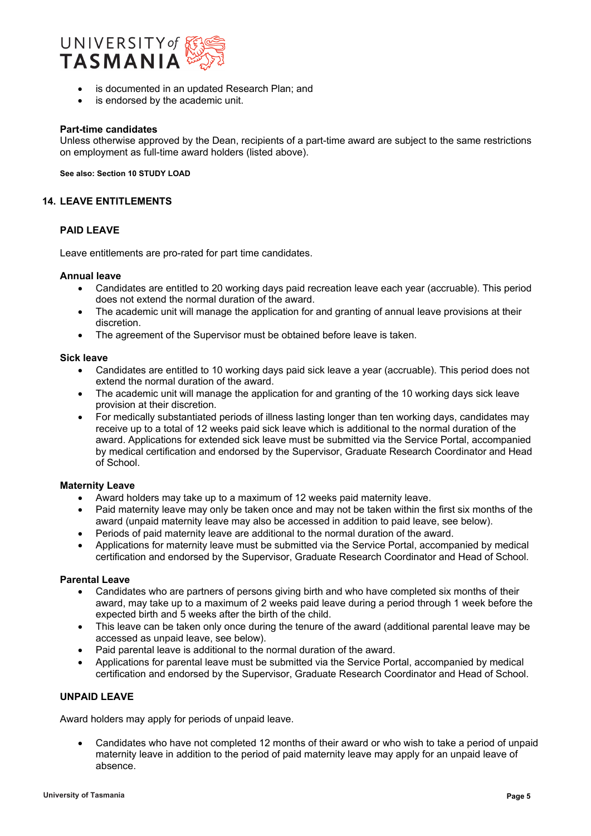

- is documented in an updated Research Plan; and
- is endorsed by the academic unit.

### **Part-time candidates**

Unless otherwise approved by the Dean, recipients of a part-time award are subject to the same restrictions on employment as full-time award holders (listed above).

**See also: Section 10 STUDY LOAD**

### **14. LEAVE ENTITLEMENTS**

### **PAID LEAVE**

Leave entitlements are pro-rated for part time candidates.

#### **Annual leave**

- Candidates are entitled to 20 working days paid recreation leave each year (accruable). This period does not extend the normal duration of the award.
- The academic unit will manage the application for and granting of annual leave provisions at their discretion.
- The agreement of the Supervisor must be obtained before leave is taken.

### **Sick leave**

- Candidates are entitled to 10 working days paid sick leave a year (accruable). This period does not extend the normal duration of the award.
- The academic unit will manage the application for and granting of the 10 working days sick leave provision at their discretion.
- For medically substantiated periods of illness lasting longer than ten working days, candidates may receive up to a total of 12 weeks paid sick leave which is additional to the normal duration of the award. Applications for extended sick leave must be submitted via the Service Portal, accompanied by medical certification and endorsed by the Supervisor, Graduate Research Coordinator and Head of School.

## **Maternity Leave**

- Award holders may take up to a maximum of 12 weeks paid maternity leave.
- Paid maternity leave may only be taken once and may not be taken within the first six months of the award (unpaid maternity leave may also be accessed in addition to paid leave, see below).
- Periods of paid maternity leave are additional to the normal duration of the award.
- Applications for maternity leave must be submitted via the Service Portal, accompanied by medical certification and endorsed by the Supervisor, Graduate Research Coordinator and Head of School.

### **Parental Leave**

- Candidates who are partners of persons giving birth and who have completed six months of their award, may take up to a maximum of 2 weeks paid leave during a period through 1 week before the expected birth and 5 weeks after the birth of the child.
- This leave can be taken only once during the tenure of the award (additional parental leave may be accessed as unpaid leave, see below).
- Paid parental leave is additional to the normal duration of the award.
- Applications for parental leave must be submitted via the Service Portal, accompanied by medical certification and endorsed by the Supervisor, Graduate Research Coordinator and Head of School.

## **UNPAID LEAVE**

Award holders may apply for periods of unpaid leave.

• Candidates who have not completed 12 months of their award or who wish to take a period of unpaid maternity leave in addition to the period of paid maternity leave may apply for an unpaid leave of absence.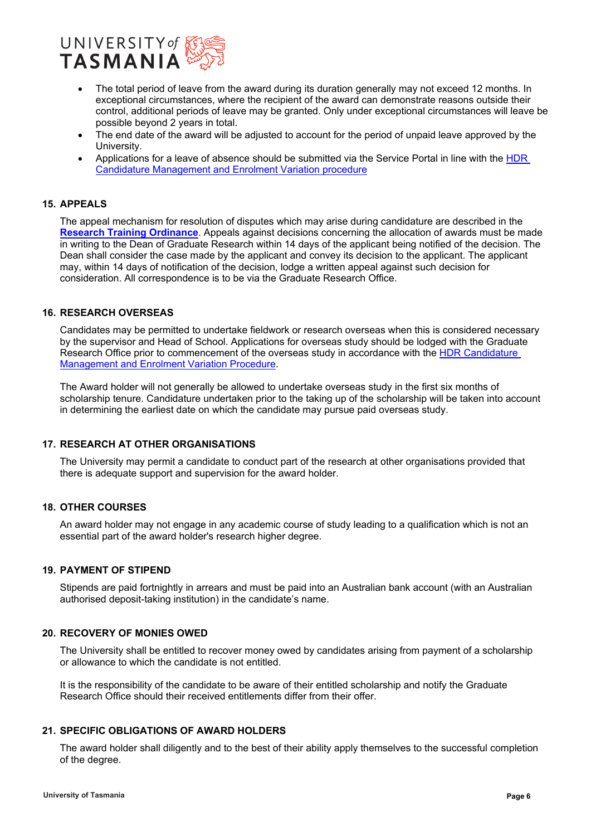

- The total period of leave from the award during its duration generally may not exceed 12 months. In exceptional circumstances, where the recipient of the award can demonstrate reasons outside their control, additional periods of leave may be granted. Only under exceptional circumstances will leave be possible beyond 2 years in total.
- The end date of the award will be adjusted to account for the period of unpaid leave approved by the University.
- Applications for a leave of absence should be submitted via the Service Portal in line with the [HDR](https://www.utas.edu.au/research-admin/graduate-research/policies-and-forms/hdr-policies)  [Candidature Management and Enrolment Variation procedure](https://www.utas.edu.au/research-admin/graduate-research/policies-and-forms/hdr-policies)

### **15. APPEALS**

The appeal mechanism for resolution of disputes which may arise during candidature are described in the **[Research Training Ordinance](https://www.utas.edu.au/research-admin/graduate-research/policies-and-forms/hdr-policies)**. Appeals against decisions concerning the allocation of awards must be made in writing to the Dean of Graduate Research within 14 days of the applicant being notified of the decision. The Dean shall consider the case made by the applicant and convey its decision to the applicant. The applicant may, within 14 days of notification of the decision, lodge a written appeal against such decision for consideration. All correspondence is to be via the Graduate Research Office.

### **16. RESEARCH OVERSEAS**

Candidates may be permitted to undertake fieldwork or research overseas when this is considered necessary by the supervisor and Head of School. Applications for overseas study should be lodged with the Graduate Research Office prior to commencement of the overseas study in accordance with the [HDR Candidature](https://www.utas.edu.au/research-admin/graduate-research/policies-and-forms/hdr-policies)  [Management and Enrolment Variation Procedure.](https://www.utas.edu.au/research-admin/graduate-research/policies-and-forms/hdr-policies)

The Award holder will not generally be allowed to undertake overseas study in the first six months of scholarship tenure. Candidature undertaken prior to the taking up of the scholarship will be taken into account in determining the earliest date on which the candidate may pursue paid overseas study.

### **17. RESEARCH AT OTHER ORGANISATIONS**

The University may permit a candidate to conduct part of the research at other organisations provided that there is adequate support and supervision for the award holder.

### **18. OTHER COURSES**

An award holder may not engage in any academic course of study leading to a qualification which is not an essential part of the award holder's research higher degree.

## **19. PAYMENT OF STIPEND**

Stipends are paid fortnightly in arrears and must be paid into an Australian bank account (with an Australian authorised deposit-taking institution) in the candidate's name.

### **20. RECOVERY OF MONIES OWED**

The University shall be entitled to recover money owed by candidates arising from payment of a scholarship or allowance to which the candidate is not entitled.

It is the responsibility of the candidate to be aware of their entitled scholarship and notify the Graduate Research Office should their received entitlements differ from their offer.

### **21. SPECIFIC OBLIGATIONS OF AWARD HOLDERS**

The award holder shall diligently and to the best of their ability apply themselves to the successful completion of the degree.